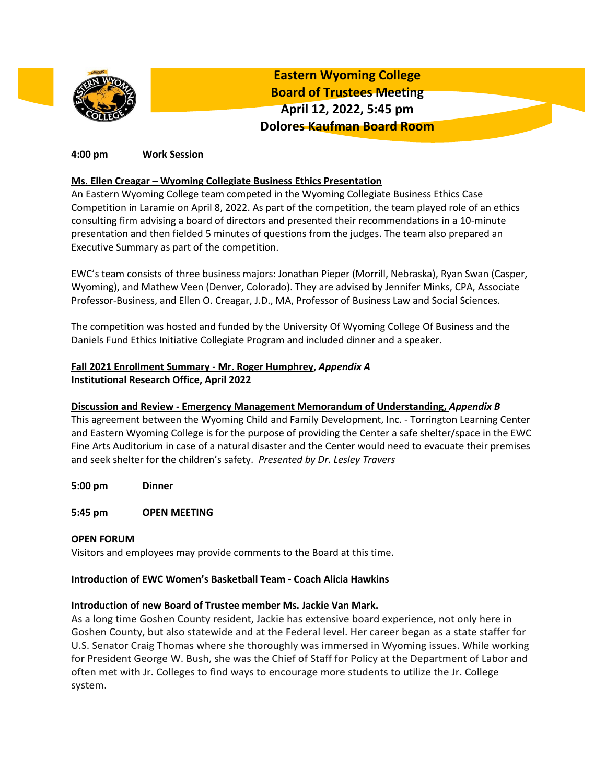

**Eastern Wyoming College Board of Trustees Meeting April 12, 2022, 5:45 pm Dolores Kaufman Board Room**

### **4:00 pm Work Session**

### **Ms. Ellen Creagar – Wyoming Collegiate Business Ethics Presentation**

An Eastern Wyoming College team competed in the Wyoming Collegiate Business Ethics Case Competition in Laramie on April 8, 2022. As part of the competition, the team played role of an ethics consulting firm advising a board of directors and presented their recommendations in a 10-minute presentation and then fielded 5 minutes of questions from the judges. The team also prepared an Executive Summary as part of the competition.

EWC's team consists of three business majors: Jonathan Pieper (Morrill, Nebraska), Ryan Swan (Casper, Wyoming), and Mathew Veen (Denver, Colorado). They are advised by Jennifer Minks, CPA, Associate Professor-Business, and Ellen O. Creagar, J.D., MA, Professor of Business Law and Social Sciences.

The competition was hosted and funded by the University Of Wyoming College Of Business and the Daniels Fund Ethics Initiative Collegiate Program and included dinner and a speaker.

## **Fall 2021 Enrollment Summary - Mr. Roger Humphrey,** *Appendix A* **Institutional Research Office, April 2022**

### **Discussion and Review - Emergency Management Memorandum of Understanding,** *Appendix B*

This agreement between the Wyoming Child and Family Development, Inc. - Torrington Learning Center and Eastern Wyoming College is for the purpose of providing the Center a safe shelter/space in the EWC Fine Arts Auditorium in case of a natural disaster and the Center would need to evacuate their premises and seek shelter for the children's safety. *Presented by Dr. Lesley Travers*

- **5:00 pm Dinner**
- **5:45 pm OPEN MEETING**

## **OPEN FORUM**

Visitors and employees may provide comments to the Board at this time.

### **Introduction of EWC Women's Basketball Team - Coach Alicia Hawkins**

### **Introduction of new Board of Trustee member Ms. Jackie Van Mark.**

As a long time Goshen County resident, Jackie has extensive board experience, not only here in Goshen County, but also statewide and at the Federal level. Her career began as a state staffer for U.S. Senator Craig Thomas where she thoroughly was immersed in Wyoming issues. While working for President George W. Bush, she was the Chief of Staff for Policy at the Department of Labor and often met with Jr. Colleges to find ways to encourage more students to utilize the Jr. College system.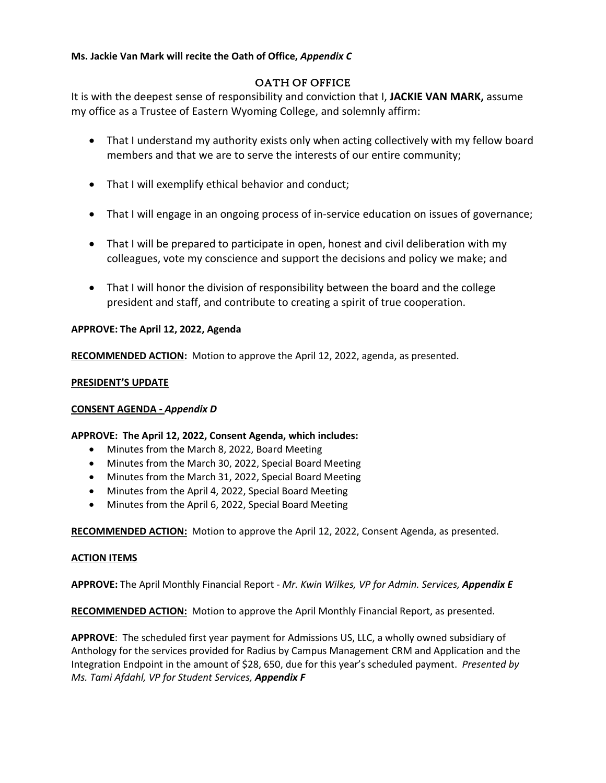## **Ms. Jackie Van Mark will recite the Oath of Office,** *Appendix C*

# OATH OF OFFICE

It is with the deepest sense of responsibility and conviction that I, **JACKIE VAN MARK,** assume my office as a Trustee of Eastern Wyoming College, and solemnly affirm:

- That I understand my authority exists only when acting collectively with my fellow board members and that we are to serve the interests of our entire community;
- That I will exemplify ethical behavior and conduct;
- That I will engage in an ongoing process of in-service education on issues of governance;
- That I will be prepared to participate in open, honest and civil deliberation with my colleagues, vote my conscience and support the decisions and policy we make; and
- That I will honor the division of responsibility between the board and the college president and staff, and contribute to creating a spirit of true cooperation.

## **APPROVE: The April 12, 2022, Agenda**

**RECOMMENDED ACTION:** Motion to approve the April 12, 2022, agenda, as presented.

### **PRESIDENT'S UPDATE**

### **CONSENT AGENDA -** *Appendix D*

### **APPROVE: The April 12, 2022, Consent Agenda, which includes:**

- Minutes from the March 8, 2022, Board Meeting
- Minutes from the March 30, 2022, Special Board Meeting
- Minutes from the March 31, 2022, Special Board Meeting
- Minutes from the April 4, 2022, Special Board Meeting
- Minutes from the April 6, 2022, Special Board Meeting

**RECOMMENDED ACTION:** Motion to approve the April 12, 2022, Consent Agenda, as presented.

### **ACTION ITEMS**

**APPROVE:** The April Monthly Financial Report - *Mr. Kwin Wilkes, VP for Admin. Services, Appendix E*

**RECOMMENDED ACTION:** Motion to approve the April Monthly Financial Report, as presented.

**APPROVE**: The scheduled first year payment for Admissions US, LLC, a wholly owned subsidiary of Anthology for the services provided for Radius by Campus Management CRM and Application and the Integration Endpoint in the amount of \$28, 650, due for this year's scheduled payment. *Presented by Ms. Tami Afdahl, VP for Student Services, Appendix F*